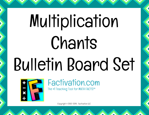## Multiplication Chants Bulletin Board Set



Copyright © 2007-2014, Factivation LLC

Factivation.com

The #1 Teaching Tool for MATH FACTS!™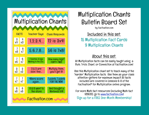| <b>Multiplication Chants</b> |                      |                                         |                                    |
|------------------------------|----------------------|-----------------------------------------|------------------------------------|
| <b>FACTS</b>                 |                      | <b>Teacher Says:</b>                    | <b>Class Responds:</b>             |
| $\frac{3}{x}$                | 4<br>x3              | 1, 2, 3, 4                              | 12 is $3x4!$                       |
| $\frac{7}{28}$               | $\frac{8}{x^7}$      | 5.6.7.8                                 | 56 is 7x8!                         |
| $\frac{7}{1}$                | $\frac{6}{x^7}$      | 7 beetles, 6 legs<br>Walking to the Zoo | How many legs?<br>FORTY-TWO!       |
| $\times 3$                   | $\times 3$           | 3 & 3 are<br>doin' fine                 | Multiply them,<br>you'll get 9!    |
| $\frac{7}{x}$                | $\overline{I}$<br>x7 | 49ers score<br>again                    | 7 points, 7 points<br>FOR THE WIN! |
| $\frac{8}{x8}$               | 8<br>x8              | 8 & 8 went to<br>the store              | And bought a<br>Nintendo 64!       |
| Factivation.com              |                      |                                         |                                    |

#### Multiplication Chants Bulletin Board Set

by Factivation.com

Included in this set: 15 Multiplication Fact Cards 9 Multiplication Chants

#### About this set:

All Multiplication facts can be easily taught using a Rule, Trick, Chant, or Connection at Factivation.com!

Use this Multiplication chant set to teach many of the "harder" Multiplication facts. Use them as your class attention-getters for maximum impact! All facts included are covered in Lessons 6-8 of the Factivation!® for Multiplication online program.

For more Math fact resources (including Math fact VIDEOS), go to [www.factivation.com!](http://www.factivation.com) Sign up for a FREE [One-Month Membe](http://www.factivation.com)rship!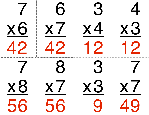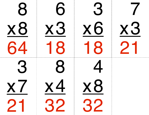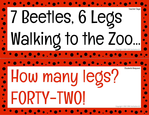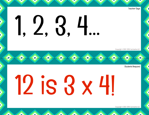#### **Teacher Says**

# 1, 2, 3, 4...

Copyright © 2007-2014, Factivation LLC

**Students Respond** 

## 12 is 3 x 41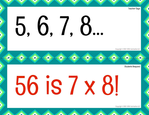#### **Teacher Says**

# 5, 6, 7, 8...

Copuright © 2007-2014, Factivation LLC

**Students Respond** 

## 56 is 7 x 81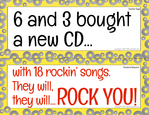### 6 and 3 bought a new CD... **Teacher Saus**

RP COROL

Copyright © 2007-2014, Factivation LLC

Students Respond

#### with 18 rockin' songs. They will, they will... ROCK YOU! Copyright © 2007-2014, Factivation LLC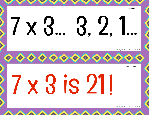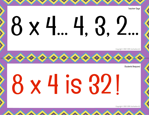## **Teacher Says** 88 x 4.. 4, 3, 2.

Copuright © 2007-2014, Factivation LLC

**Students Respond** 

# 18x4is 321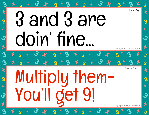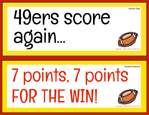



Teacher Says

Copyright © 2007-2014, Factivation LLC

### Students Respond 7 points, 7 points FOR THE WIN!